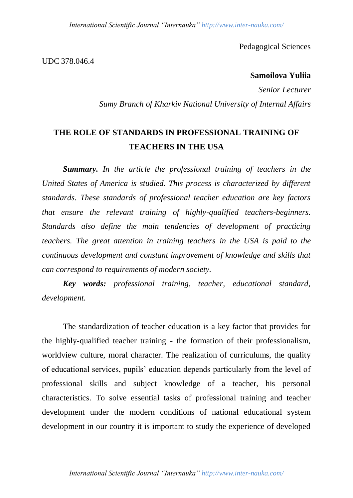Pedagogical Sciences

UDC 378.046.4

## **Samoilova Yuliia**

*Senior Lecturer Sumy Branch of Kharkiv National University of Internal Affairs*

## **THE ROLE OF STANDARDS IN PROFESSIONAL TRAINING OF TEACHERS IN THE USA**

*Summary. In the article the professional training of teachers in the United States of America is studied. This process is characterized by different standards. These standards of professional teacher education are key factors that ensure the relevant training of highly-qualified teachers-beginners. Standards also define the main tendencies of development of practicing teachers. The great attention in training teachers in the USA is paid to the continuous development and constant improvement of knowledge and skills that can correspond to requirements of modern society.*

*Key words: professional training, teacher, educational standard, development.*

The standardization of teacher education is a key factor that provides for the highly-qualified teacher training - the formation of their professionalism, worldview culture, moral character. The realization of curriculums, the quality of educational services, pupils' education depends particularly from the level of professional skills and subject knowledge of a teacher, his personal characteristics. To solve essential tasks of professional training and teacher development under the modern conditions of national educational system development in our country it is important to study the experience of developed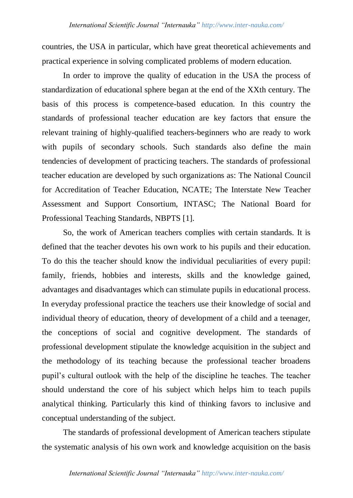countries, the USA in particular, which have great theoretical achievements and practical experience in solving complicated problems of modern education.

In order to improve the quality of education in the USA the process of standardization of educational sphere began at the end of the XXth century. The basis of this process is competence-based education. In this country the standards of professional teacher education are key factors that ensure the relevant training of highly-qualified teachers-beginners who are ready to work with pupils of secondary schools. Such standards also define the main tendencies of development of practicing teachers. The standards of professional teacher education are developed by such organizations as: The National Council for Accreditation of Teacher Education, NCATE; The Interstate New Teacher Assessment and Support Consortium, INTASC; The National Board for Professional Teaching Standards, NBPTS [1].

So, the work of American teachers complies with certain standards. It is defined that the teacher devotes his own work to his pupils and their education. To do this the teacher should know the individual peculiarities of every pupil: family, friends, hobbies and interests, skills and the knowledge gained, advantages and disadvantages which can stimulate pupils in educational process. In everyday professional practice the teachers use their knowledge of social and individual theory of education, theory of development of a child and a teenager, the conceptions of social and cognitive development. The standards of professional development stipulate the knowledge acquisition in the subject and the methodology of its teaching because the professional teacher broadens pupil's cultural outlook with the help of the discipline he teaches. The teacher should understand the core of his subject which helps him to teach pupils analytical thinking. Particularly this kind of thinking favors to inclusive and conceptual understanding of the subject.

The standards of professional development of American teachers stipulate the systematic analysis of his own work and knowledge acquisition on the basis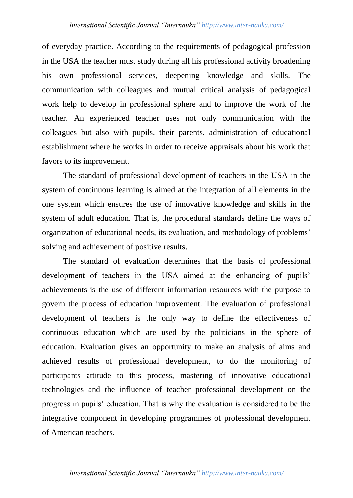of everyday practice. According to the requirements of pedagogical profession in the USA the teacher must study during all his professional activity broadening his own professional services, deepening knowledge and skills. The communication with colleagues and mutual critical analysis of pedagogical work help to develop in professional sphere and to improve the work of the teacher. An experienced teacher uses not only communication with the colleagues but also with pupils, their parents, administration of educational establishment where he works in order to receive appraisals about his work that favors to its improvement.

The standard of professional development of teachers in the USA in the system of continuous learning is aimed at the integration of all elements in the one system which ensures the use of innovative knowledge and skills in the system of adult education. That is, the procedural standards define the ways of organization of educational needs, its evaluation, and methodology of problems' solving and achievement of positive results.

The standard of evaluation determines that the basis of professional development of teachers in the USA aimed at the enhancing of pupils' achievements is the use of different information resources with the purpose to govern the process of education improvement. The evaluation of professional development of teachers is the only way to define the effectiveness of continuous education which are used by the politicians in the sphere of education. Evaluation gives an opportunity to make an analysis of aims and achieved results of professional development, to do the monitoring of participants attitude to this process, mastering of innovative educational technologies and the influence of teacher professional development on the progress in pupils' education. That is why the evaluation is considered to be the integrative component in developing programmes of professional development of American teachers.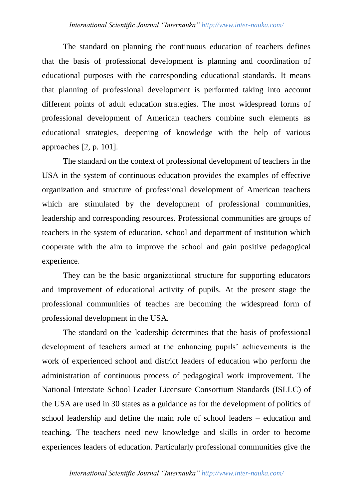The standard on planning the continuous education of teachers defines that the basis of professional development is planning and coordination of educational purposes with the corresponding educational standards. It means that planning of professional development is performed taking into account different points of adult education strategies. The most widespread forms of professional development of American teachers combine such elements as educational strategies, deepening of knowledge with the help of various approaches [2, p. 101].

The standard on the context of professional development of teachers in the USA in the system of continuous education provides the examples of effective organization and structure of professional development of American teachers which are stimulated by the development of professional communities, leadership and corresponding resources. Professional communities are groups of teachers in the system of education, school and department of institution which cooperate with the aim to improve the school and gain positive pedagogical experience.

They can be the basic organizational structure for supporting educators and improvement of educational activity of pupils. At the present stage the professional communities of teaches are becoming the widespread form of professional development in the USA.

The standard on the leadership determines that the basis of professional development of teachers aimed at the enhancing pupils' achievements is the work of experienced school and district leaders of education who perform the administration of continuous process of pedagogical work improvement. The National Interstate School Leader Licensure Consortium Standards (ISLLC) of the USA are used in 30 states as a guidance as for the development of politics of school leadership and define the main role of school leaders – education and teaching. The teachers need new knowledge and skills in order to become experiences leaders of education. Particularly professional communities give the